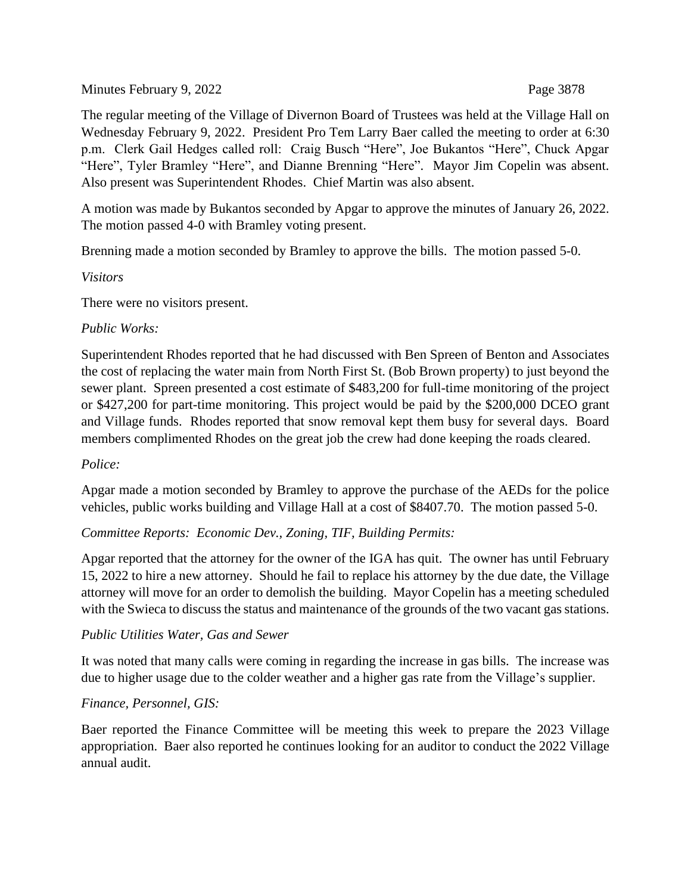Minutes February 9, 2022 Page 3878

The regular meeting of the Village of Divernon Board of Trustees was held at the Village Hall on Wednesday February 9, 2022. President Pro Tem Larry Baer called the meeting to order at 6:30 p.m. Clerk Gail Hedges called roll: Craig Busch "Here", Joe Bukantos "Here", Chuck Apgar "Here", Tyler Bramley "Here", and Dianne Brenning "Here". Mayor Jim Copelin was absent. Also present was Superintendent Rhodes. Chief Martin was also absent.

A motion was made by Bukantos seconded by Apgar to approve the minutes of January 26, 2022. The motion passed 4-0 with Bramley voting present.

Brenning made a motion seconded by Bramley to approve the bills. The motion passed 5-0.

# *Visitors*

There were no visitors present.

## *Public Works:*

Superintendent Rhodes reported that he had discussed with Ben Spreen of Benton and Associates the cost of replacing the water main from North First St. (Bob Brown property) to just beyond the sewer plant. Spreen presented a cost estimate of \$483,200 for full-time monitoring of the project or \$427,200 for part-time monitoring. This project would be paid by the \$200,000 DCEO grant and Village funds. Rhodes reported that snow removal kept them busy for several days. Board members complimented Rhodes on the great job the crew had done keeping the roads cleared.

### *Police:*

Apgar made a motion seconded by Bramley to approve the purchase of the AEDs for the police vehicles, public works building and Village Hall at a cost of \$8407.70. The motion passed 5-0.

# *Committee Reports: Economic Dev., Zoning, TIF, Building Permits:*

Apgar reported that the attorney for the owner of the IGA has quit. The owner has until February 15, 2022 to hire a new attorney. Should he fail to replace his attorney by the due date, the Village attorney will move for an order to demolish the building. Mayor Copelin has a meeting scheduled with the Swieca to discuss the status and maintenance of the grounds of the two vacant gas stations.

### *Public Utilities Water, Gas and Sewer*

It was noted that many calls were coming in regarding the increase in gas bills. The increase was due to higher usage due to the colder weather and a higher gas rate from the Village's supplier.

### *Finance, Personnel, GIS:*

Baer reported the Finance Committee will be meeting this week to prepare the 2023 Village appropriation. Baer also reported he continues looking for an auditor to conduct the 2022 Village annual audit.